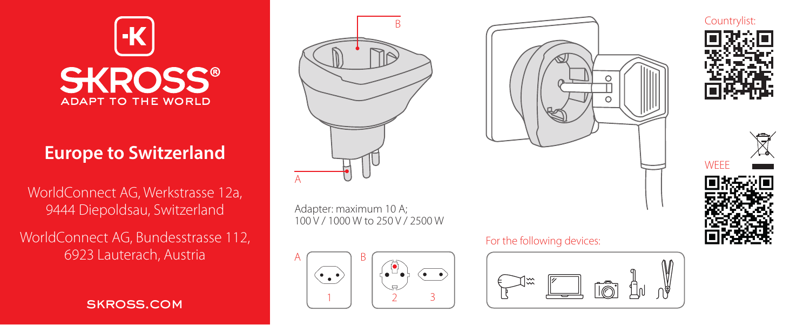

# **Europe to Switzerland**

WorldConnect AG, Werkstrasse 12a, 9444 Diepoldsau, Switzerland

WorldConnect AG, Bundesstrasse 112, 6923 Lauterach, Austria

skross.com



Adapter: maximum 10 A; 100 V / 1000 W to 250 V / 2500 W







### For the following devices: